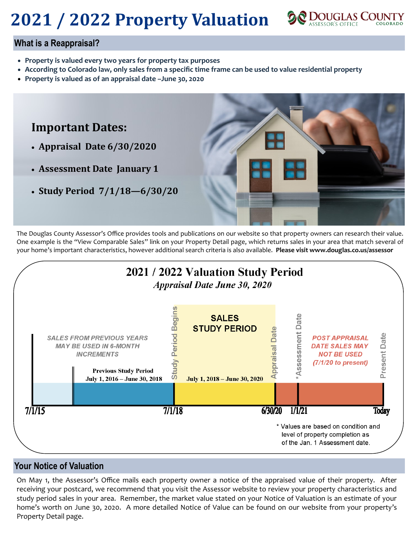# **2021 / 2022 Property Valuation**



#### **What is a Reappraisal?**

- **Property is valued every two years for property tax purposes**
- **According to Colorado law, only sales from a specific time frame can be used to value residential property**
- **Property is valued as of an appraisal date –June 30, 2020**



The Douglas County Assessor's Office provides tools and publications on our website so that property owners can research their value. One example is the "View Comparable Sales" link on your Property Detail page, which returns sales in your area that match several of your home's important characteristics, however additional search criteria is also available. **Please visit www.douglas.co.us/assessor**



#### **Your Notice of Valuation**

On May 1, the Assessor's Office mails each property owner a notice of the appraised value of their property. After receiving your postcard, we recommend that you visit the Assessor website to review your property characteristics and study period sales in your area. Remember, the market value stated on your Notice of Valuation is an estimate of your home's worth on June 30, 2020. A more detailed Notice of Value can be found on our website from your property's Property Detail page.